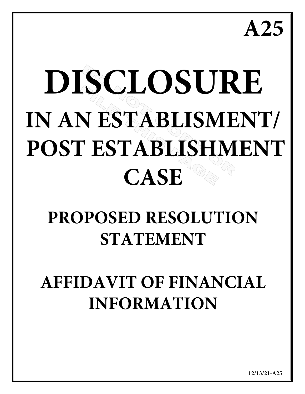**A25**

# **DISCLOSURE IN AN ESTABLISMENT/ POST ESTABLISHMENT CASE**

# **PROPOSED RESOLUTION STATEMENT**

# **AFFIDAVIT OF FINANCIAL INFORMATION**

**12/13/21-A25**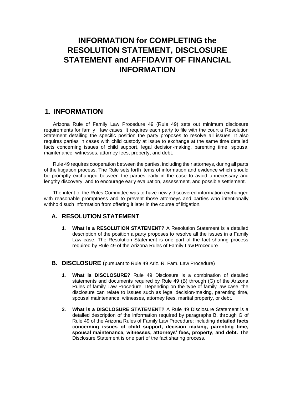# **INFORMATION for COMPLETING the RESOLUTION STATEMENT, DISCLOSURE STATEMENT and AFFIDAVIT OF FINANCIAL INFORMATION**

# **1. INFORMATION**

Arizona Rule of Family Law Procedure 49 (Rule 49) sets out minimum disclosure requirements for family law cases. It requires each party to file with the court a Resolution Statement detailing the specific position the party proposes to resolve all issues. It also requires parties in cases with child custody at issue to exchange at the same time detailed facts concerning issues of child support, legal decision-making, parenting time, spousal maintenance, witnesses, attorney fees, property, and debt.

Rule 49 requires cooperation between the parties, including their attorneys, during all parts of the litigation process. The Rule sets forth items of information and evidence which should be promptly exchanged between the parties early in the case to avoid unnecessary and lengthy discovery, and to encourage early evaluation, assessment, and possible settlement.

The intent of the Rules Committee was to have newly discovered information exchanged with reasonable promptness and to prevent those attorneys and parties who intentionally withhold such information from offering it later in the course of litigation.

### **A. RESOLUTION STATEMENT**

- **1. What is a RESOLUTION STATEMENT?** A Resolution Statement is a detailed description of the position a party proposes to resolve all the issues in a Family Law case. The Resolution Statement is one part of the fact sharing process required by Rule 49 of the Arizona Rules of Family Law Procedure.
- **B. DISCLOSURE** (pursuant to Rule 49 Ariz. R. Fam. Law Procedure)
	- **1. What is DISCLOSURE?** Rule 49 Disclosure is a combination of detailed statements and documents required by Rule 49 (B) through (G) of the Arizona Rules of family Law Procedure. Depending on the type of family law case, the disclosure can relate to issues such as legal decision-making, parenting time, spousal maintenance, witnesses, attorney fees, marital property, or debt.
	- **2. What is a DISCLOSURE STATEMENT?** A Rule 49 Disclosure Statement is a detailed description of the information required by paragraphs B, through G of Rule 49 of the Arizona Rules of Family Law Procedure: including **detailed facts concerning issues of child support, decision making, parenting time, spousal maintenance, witnesses, attorneys' fees, property, and debt.** The Disclosure Statement is one part of the fact sharing process.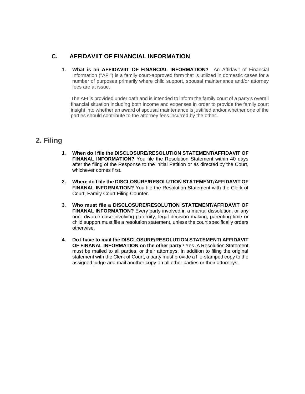# **C. AFFIDAVIIT OF FINANCIAL INFORMATION**

**1. What is an AFFIDAVIIT OF FINANCIAL INFORMATION?** An Affidavit of Financial Information ("AFI") is a family court-approved form that is utilized in domestic cases for a number of purposes primarily where child support, spousal maintenance and/or attorney fees are at issue.

The AFI is provided under oath and is intended to inform the family court of a party's overall financial situation including both income and expenses in order to provide the family court insight into whether an award of spousal maintenance is justified and/or whether one of the parties should contribute to the attorney fees incurred by the other.

# **2. Filing**

- **1. When do I file the DISCLOSURE/RESOLUTION STATEMENT/AFFIDAVIT OF FINANAL INFORMATION?** You file the Resolution Statement within 40 days after the filing of the Response to the initial Petition or as directed by the Court, whichever comes first.
- **2. Where do I file the DISCLOSURE/RESOLUTION STATEMENT/AFFIDAVIT OF FINANAL INFORMATION?** You file the Resolution Statement with the Clerk of Court, Family Court Filing Counter.
- **3. Who must file a DISCLOSURE/RESOLUTION STATEMENT/AFFIDAVIT OF FINANAL INFORMATION?** Every party involved in a marital dissolution, or any non- divorce case involving paternity, legal decision-making, parenting time or child support must file a resolution statement, unless the court specifically orders otherwise.
- **4. Do I have to mail the DISCLOSURE/RESOLUTION STATEMENT/ AFFIDAVIT OF FINANAL INFORMATION on the other party**? Yes. A Resolution Statement must be mailed to all parties, or their attorneys. In addition to filing the original statement with the Clerk of Court, a party must provide a file-stamped copy to the assigned judge and mail another copy on all other parties or their attorneys.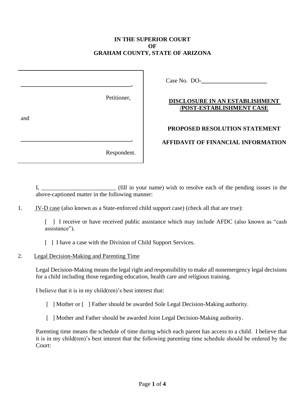## **IN THE SUPERIOR COURT OF GRAHAM COUNTY, STATE OF ARIZONA**

|     | Petitioner, |
|-----|-------------|
| and |             |
|     | Respondent. |

Case No. DO-**\_\_\_\_\_\_\_\_\_\_\_\_\_\_\_\_\_\_\_\_\_\_**

# **DISCLOSURE IN AN ESTABLISHMENT /POST-ESTABLISHMENT CASE**

# **PROPOSED RESOLUTION STATEMENT**

## **AFFIDAVIT OF FINANCIAL INFORMATION**

I, \_\_\_\_\_\_\_\_\_\_\_\_\_\_\_\_\_\_\_\_\_\_\_\_\_ (fill in your name) wish to resolve each of the pending issues in the above-captioned matter in the following manner:

1. IV-D case (also known as a State-enforced child support case) (check all that are true):

[ ] I receive or have received public assistance which may include AFDC (also known as "cash assistance").

- [ ] I have a case with the Division of Child Support Services.
- 2. Legal Decision-Making and Parenting Time

Legal Decision-Making means the legal right and responsibility to make all nonemergency legal decisions for a child including those regarding education, health care and religious training.

I believe that it is in my child(ren)'s best interest that:

- [ ] Mother or [ ] Father should be awarded Sole Legal Decision-Making authority.
- [ ] Mother and Father should be awarded Joint Legal Decision-Making authority.

Parenting time means the schedule of time during which each parent has access to a child. I believe that it is in my child(ren)'s best interest that the following parenting time schedule should be ordered by the Court: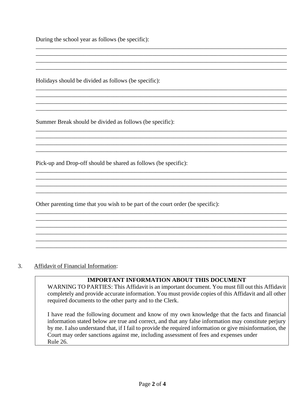During the school year as follows (be specific):

Holidays should be divided as follows (be specific):

Summer Break should be divided as follows (be specific):

Pick-up and Drop-off should be shared as follows (be specific):

Other parenting time that you wish to be part of the court order (be specific):

#### 3. Affidavit of Financial Information:

#### **IMPORTANT INFORMATION ABOUT THIS DOCUMENT**

\_\_\_\_\_\_\_\_\_\_\_\_\_\_\_\_\_\_\_\_\_\_\_\_\_\_\_\_\_\_\_\_\_\_\_\_\_\_\_\_\_\_\_\_\_\_\_\_\_\_\_\_\_\_\_\_\_\_\_\_\_\_\_\_\_\_\_\_\_\_\_\_\_\_\_\_\_\_\_\_\_\_\_\_ \_\_\_\_\_\_\_\_\_\_\_\_\_\_\_\_\_\_\_\_\_\_\_\_\_\_\_\_\_\_\_\_\_\_\_\_\_\_\_\_\_\_\_\_\_\_\_\_\_\_\_\_\_\_\_\_\_\_\_\_\_\_\_\_\_\_\_\_\_\_\_\_\_\_\_\_\_\_\_\_\_\_\_\_

\_\_\_\_\_\_\_\_\_\_\_\_\_\_\_\_\_\_\_\_\_\_\_\_\_\_\_\_\_\_\_\_\_\_\_\_\_\_\_\_\_\_\_\_\_\_\_\_\_\_\_\_\_\_\_\_\_\_\_\_\_\_\_\_\_\_\_\_\_\_\_\_\_\_\_\_\_\_\_\_\_\_\_\_

\_\_\_\_\_\_\_\_\_\_\_\_\_\_\_\_\_\_\_\_\_\_\_\_\_\_\_\_\_\_\_\_\_\_\_\_\_\_\_\_\_\_\_\_\_\_\_\_\_\_\_\_\_\_\_\_\_\_\_\_\_\_\_\_\_\_\_\_\_\_\_\_\_\_\_\_\_\_\_\_\_\_\_\_ \_\_\_\_\_\_\_\_\_\_\_\_\_\_\_\_\_\_\_\_\_\_\_\_\_\_\_\_\_\_\_\_\_\_\_\_\_\_\_\_\_\_\_\_\_\_\_\_\_\_\_\_\_\_\_\_\_\_\_\_\_\_\_\_\_\_\_\_\_\_\_\_\_\_\_\_\_\_\_\_\_\_\_\_ \_\_\_\_\_\_\_\_\_\_\_\_\_\_\_\_\_\_\_\_\_\_\_\_\_\_\_\_\_\_\_\_\_\_\_\_\_\_\_\_\_\_\_\_\_\_\_\_\_\_\_\_\_\_\_\_\_\_\_\_\_\_\_\_\_\_\_\_\_\_\_\_\_\_\_\_\_\_\_\_\_\_\_\_ \_\_\_\_\_\_\_\_\_\_\_\_\_\_\_\_\_\_\_\_\_\_\_\_\_\_\_\_\_\_\_\_\_\_\_\_\_\_\_\_\_\_\_\_\_\_\_\_\_\_\_\_\_\_\_\_\_\_\_\_\_\_\_\_\_\_\_\_\_\_\_\_\_\_\_\_\_\_\_\_\_\_\_\_

\_\_\_\_\_\_\_\_\_\_\_\_\_\_\_\_\_\_\_\_\_\_\_\_\_\_\_\_\_\_\_\_\_\_\_\_\_\_\_\_\_\_\_\_\_\_\_\_\_\_\_\_\_\_\_\_\_\_\_\_\_\_\_\_\_\_\_\_\_\_\_\_\_\_\_\_\_\_\_\_\_\_\_\_ \_\_\_\_\_\_\_\_\_\_\_\_\_\_\_\_\_\_\_\_\_\_\_\_\_\_\_\_\_\_\_\_\_\_\_\_\_\_\_\_\_\_\_\_\_\_\_\_\_\_\_\_\_\_\_\_\_\_\_\_\_\_\_\_\_\_\_\_\_\_\_\_\_\_\_\_\_\_\_\_\_\_\_\_ \_\_\_\_\_\_\_\_\_\_\_\_\_\_\_\_\_\_\_\_\_\_\_\_\_\_\_\_\_\_\_\_\_\_\_\_\_\_\_\_\_\_\_\_\_\_\_\_\_\_\_\_\_\_\_\_\_\_\_\_\_\_\_\_\_\_\_\_\_\_\_\_\_\_\_\_\_\_\_\_\_\_\_\_

\_\_\_\_\_\_\_\_\_\_\_\_\_\_\_\_\_\_\_\_\_\_\_\_\_\_\_\_\_\_\_\_\_\_\_\_\_\_\_\_\_\_\_\_\_\_\_\_\_\_\_\_\_\_\_\_\_\_\_\_\_\_\_\_\_\_\_\_\_\_\_\_\_\_\_\_\_\_\_\_\_\_\_\_ \_\_\_\_\_\_\_\_\_\_\_\_\_\_\_\_\_\_\_\_\_\_\_\_\_\_\_\_\_\_\_\_\_\_\_\_\_\_\_\_\_\_\_\_\_\_\_\_\_\_\_\_\_\_\_\_\_\_\_\_\_\_\_\_\_\_\_\_\_\_\_\_\_\_\_\_\_\_\_\_\_\_\_\_

\_\_\_\_\_\_\_\_\_\_\_\_\_\_\_\_\_\_\_\_\_\_\_\_\_\_\_\_\_\_\_\_\_\_\_\_\_\_\_\_\_\_\_\_\_\_\_\_\_\_\_\_\_\_\_\_\_\_\_\_\_\_\_\_\_\_\_\_\_\_\_\_\_\_\_\_\_\_\_\_\_\_\_\_

\_\_\_\_\_\_\_\_\_\_\_\_\_\_\_\_\_\_\_\_\_\_\_\_\_\_\_\_\_\_\_\_\_\_\_\_\_\_\_\_\_\_\_\_\_\_\_\_\_\_\_\_\_\_\_\_\_\_\_\_\_\_\_\_\_\_\_\_\_\_\_\_\_\_\_\_\_\_\_\_\_\_\_\_ \_\_\_\_\_\_\_\_\_\_\_\_\_\_\_\_\_\_\_\_\_\_\_\_\_\_\_\_\_\_\_\_\_\_\_\_\_\_\_\_\_\_\_\_\_\_\_\_\_\_\_\_\_\_\_\_\_\_\_\_\_\_\_\_\_\_\_\_\_\_\_\_\_\_\_\_\_\_\_\_\_\_\_\_ \_\_\_\_\_\_\_\_\_\_\_\_\_\_\_\_\_\_\_\_\_\_\_\_\_\_\_\_\_\_\_\_\_\_\_\_\_\_\_\_\_\_\_\_\_\_\_\_\_\_\_\_\_\_\_\_\_\_\_\_\_\_\_\_\_\_\_\_\_\_\_\_\_\_\_\_\_\_\_\_\_\_\_\_ \_\_\_\_\_\_\_\_\_\_\_\_\_\_\_\_\_\_\_\_\_\_\_\_\_\_\_\_\_\_\_\_\_\_\_\_\_\_\_\_\_\_\_\_\_\_\_\_\_\_\_\_\_\_\_\_\_\_\_\_\_\_\_\_\_\_\_\_\_\_\_\_\_\_\_\_\_\_\_\_\_\_\_\_ \_\_\_\_\_\_\_\_\_\_\_\_\_\_\_\_\_\_\_\_\_\_\_\_\_\_\_\_\_\_\_\_\_\_\_\_\_\_\_\_\_\_\_\_\_\_\_\_\_\_\_\_\_\_\_\_\_\_\_\_\_\_\_\_\_\_\_\_\_\_\_\_\_\_\_\_\_\_\_\_\_\_\_\_ \_\_\_\_\_\_\_\_\_\_\_\_\_\_\_\_\_\_\_\_\_\_\_\_\_\_\_\_\_\_\_\_\_\_\_\_\_\_\_\_\_\_\_\_\_\_\_\_\_\_\_\_\_\_\_\_\_\_\_\_\_\_\_\_\_\_\_\_\_\_\_\_\_\_\_\_\_\_\_\_\_\_\_\_

WARNING TO PARTIES: This Affidavit is an important document. You must fill out this Affidavit completely and provide accurate information. You must provide copies of this Affidavit and all other required documents to the other party and to the Clerk.

I have read the following document and know of my own knowledge that the facts and financial information stated below are true and correct, and that any false information may constitute perjury by me. I also understand that, if I fail to provide the required information or give misinformation, the Court may order sanctions against me, including assessment of fees and expenses under Rule 26.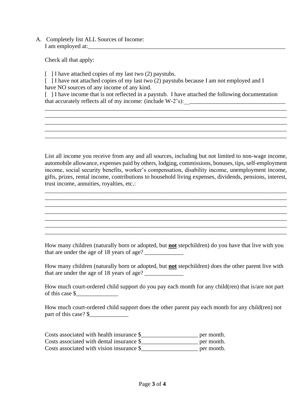A. Completely list ALL Sources of Income: I am employed at:

Check all that apply:

[ ] I have attached copies of my last two (2) paystubs.

[ ] I have not attached copies of my last two (2) paystubs because I am not employed and I have NO sources of any income of any kind.

[ ] I have income that is not reflected in a paystub. I have attached the following documentation that accurately reflects all of my income: (include  $W-2$ 's):

\_\_\_\_\_\_\_\_\_\_\_\_\_\_\_\_\_\_\_\_\_\_\_\_\_\_\_\_\_\_\_\_\_\_\_\_\_\_\_\_\_\_\_\_\_\_\_\_\_\_\_\_\_\_\_\_\_\_\_\_\_\_\_\_\_\_\_\_\_\_\_\_\_\_\_\_\_\_\_\_\_ \_\_\_\_\_\_\_\_\_\_\_\_\_\_\_\_\_\_\_\_\_\_\_\_\_\_\_\_\_\_\_\_\_\_\_\_\_\_\_\_\_\_\_\_\_\_\_\_\_\_\_\_\_\_\_\_\_\_\_\_\_\_\_\_\_\_\_\_\_\_\_\_\_\_\_\_\_\_\_\_\_ \_\_\_\_\_\_\_\_\_\_\_\_\_\_\_\_\_\_\_\_\_\_\_\_\_\_\_\_\_\_\_\_\_\_\_\_\_\_\_\_\_\_\_\_\_\_\_\_\_\_\_\_\_\_\_\_\_\_\_\_\_\_\_\_\_\_\_\_\_\_\_\_\_\_\_\_\_\_\_\_\_ \_\_\_\_\_\_\_\_\_\_\_\_\_\_\_\_\_\_\_\_\_\_\_\_\_\_\_\_\_\_\_\_\_\_\_\_\_\_\_\_\_\_\_\_\_\_\_\_\_\_\_\_\_\_\_\_\_\_\_\_\_\_\_\_\_\_\_\_\_\_\_\_\_\_\_\_\_\_\_\_\_

List all income you receive from any and all sources, including but not limited to non-wage income, automobile allowance, expenses paid by others, lodging, commissions, bonuses, tips, self-employment income, social security benefits, worker's compensation, disability income, unemployment income, gifts, prizes, rental income, contributions to household living expenses, dividends, pensions, interest, trust income, annuities, royalties, etc.:

\_\_\_\_\_\_\_\_\_\_\_\_\_\_\_\_\_\_\_\_\_\_\_\_\_\_\_\_\_\_\_\_\_\_\_\_\_\_\_\_\_\_\_\_\_\_\_\_\_\_\_\_\_\_\_\_\_\_\_\_\_\_\_\_\_\_\_\_\_\_\_\_\_\_\_\_\_\_\_\_\_ \_\_\_\_\_\_\_\_\_\_\_\_\_\_\_\_\_\_\_\_\_\_\_\_\_\_\_\_\_\_\_\_\_\_\_\_\_\_\_\_\_\_\_\_\_\_\_\_\_\_\_\_\_\_\_\_\_\_\_\_\_\_\_\_\_\_\_\_\_\_\_\_\_\_\_\_\_\_\_\_\_ \_\_\_\_\_\_\_\_\_\_\_\_\_\_\_\_\_\_\_\_\_\_\_\_\_\_\_\_\_\_\_\_\_\_\_\_\_\_\_\_\_\_\_\_\_\_\_\_\_\_\_\_\_\_\_\_\_\_\_\_\_\_\_\_\_\_\_\_\_\_\_\_\_\_\_\_\_\_\_\_\_ \_\_\_\_\_\_\_\_\_\_\_\_\_\_\_\_\_\_\_\_\_\_\_\_\_\_\_\_\_\_\_\_\_\_\_\_\_\_\_\_\_\_\_\_\_\_\_\_\_\_\_\_\_\_\_\_\_\_\_\_\_\_\_\_\_\_\_\_\_\_\_\_\_\_\_\_\_\_\_\_\_ \_\_\_\_\_\_\_\_\_\_\_\_\_\_\_\_\_\_\_\_\_\_\_\_\_\_\_\_\_\_\_\_\_\_\_\_\_\_\_\_\_\_\_\_\_\_\_\_\_\_\_\_\_\_\_\_\_\_\_\_\_\_\_\_\_\_\_\_\_\_\_\_\_\_\_\_\_\_\_\_\_ \_\_\_\_\_\_\_\_\_\_\_\_\_\_\_\_\_\_\_\_\_\_\_\_\_\_\_\_\_\_\_\_\_\_\_\_\_\_\_\_\_\_\_\_\_\_\_\_\_\_\_\_\_\_\_\_\_\_\_\_\_\_\_\_\_\_\_\_\_\_\_\_\_\_\_\_\_\_\_\_\_ \_\_\_\_\_\_\_\_\_\_\_\_\_\_\_\_\_\_\_\_\_\_\_\_\_\_\_\_\_\_\_\_\_\_\_\_\_\_\_\_\_\_\_\_\_\_\_\_\_\_\_\_\_\_\_\_\_\_\_\_\_\_\_\_\_\_\_\_\_\_\_\_\_\_\_\_\_\_\_\_\_

How many children (naturally born or adopted, but **not** stepchildren) do you have that live with you that are under the age of 18 years of age?

How many children (naturally born or adopted, but **not** stepchildren) does the other parent live with that are under the age of 18 years of age? \_\_\_\_\_\_\_\_\_\_\_\_\_

How much court-ordered child support do you pay each month for any child(ren) that is/are not part of this case \$\_\_\_\_\_\_\_\_\_\_\_\_\_\_

How much court-ordered child support does the other parent pay each month for any child(ren) not part of this case?  $\frac{\sqrt{2}}{2}$ 

Costs associated with health insurance \$\_\_\_\_\_\_\_\_\_\_\_\_\_\_\_\_\_\_\_ per month. Costs associated with dental insurance \$\_\_\_\_\_\_\_\_\_\_\_\_\_\_\_\_\_\_\_ per month. Costs associated with vision insurance \$\_\_\_\_\_\_\_\_\_\_\_\_\_\_\_\_\_\_\_ per month.